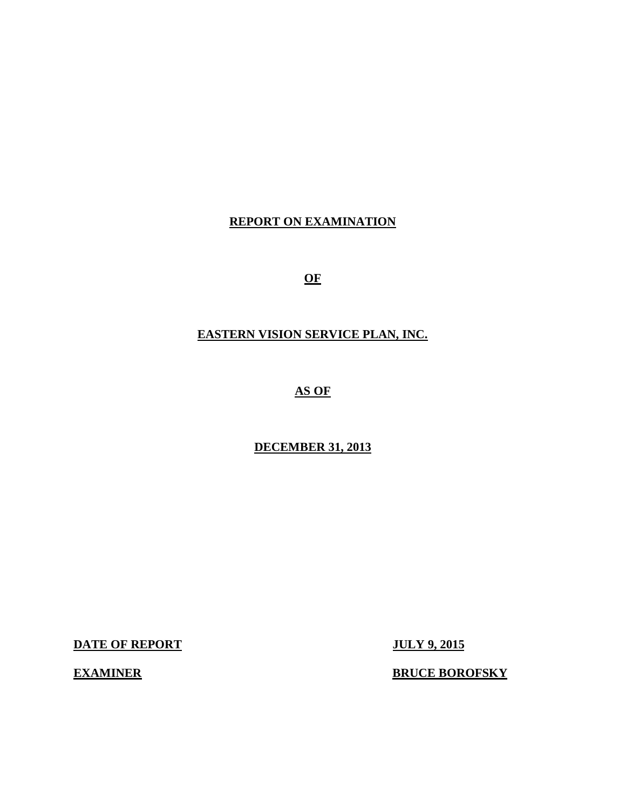## **REPORT ON EXAMINATION**

**OF** 

### **EASTERN VISION SERVICE PLAN, INC.**

 **AS OF** 

### **DECEMBER 31, 2013**

**DATE OF REPORT JULY 9, 2015** 

**EXAMINER** 

**ERUCE BOROFSKY**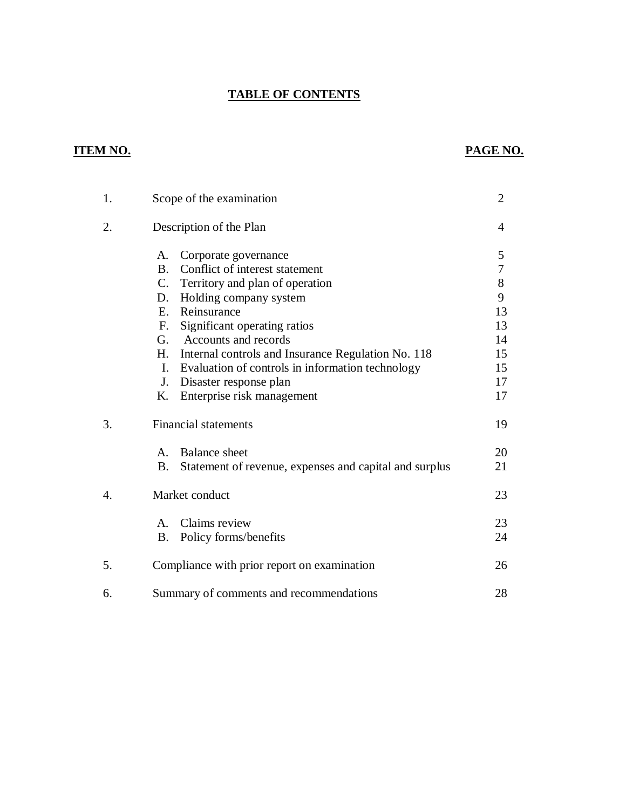#### **TABLE OF CONTENTS**

## **ITEM NO. PAGE NO.**

| 1. | Scope of the examination                                            | $\overline{2}$ |
|----|---------------------------------------------------------------------|----------------|
| 2. | Description of the Plan                                             | 4              |
|    | Corporate governance<br>А.                                          | 5              |
|    | Conflict of interest statement<br><b>B.</b>                         | 7              |
|    | $C_{\cdot}$<br>Territory and plan of operation                      | 8              |
|    | Holding company system<br>D.                                        | 9              |
|    | Reinsurance<br>E.                                                   | 13             |
|    | Significant operating ratios<br>F.                                  | 13             |
|    | Accounts and records<br>G.                                          | 14             |
|    | H.<br>Internal controls and Insurance Regulation No. 118            | 15             |
|    | Evaluation of controls in information technology<br>$\mathbf{I}$ .  | 15             |
|    | J.<br>Disaster response plan                                        | 17             |
|    | Enterprise risk management<br>Κ.                                    | 17             |
| 3. | <b>Financial statements</b>                                         | 19             |
|    | <b>Balance</b> sheet<br>A.                                          | 20             |
|    | Statement of revenue, expenses and capital and surplus<br><b>B.</b> | 21             |
| 4. | Market conduct                                                      | 23             |
|    | Claims review<br>$A_{1}$                                            | 23             |
|    | Policy forms/benefits<br><b>B.</b>                                  | 24             |
| 5. | Compliance with prior report on examination                         | 26             |
| 6. | Summary of comments and recommendations                             | 28             |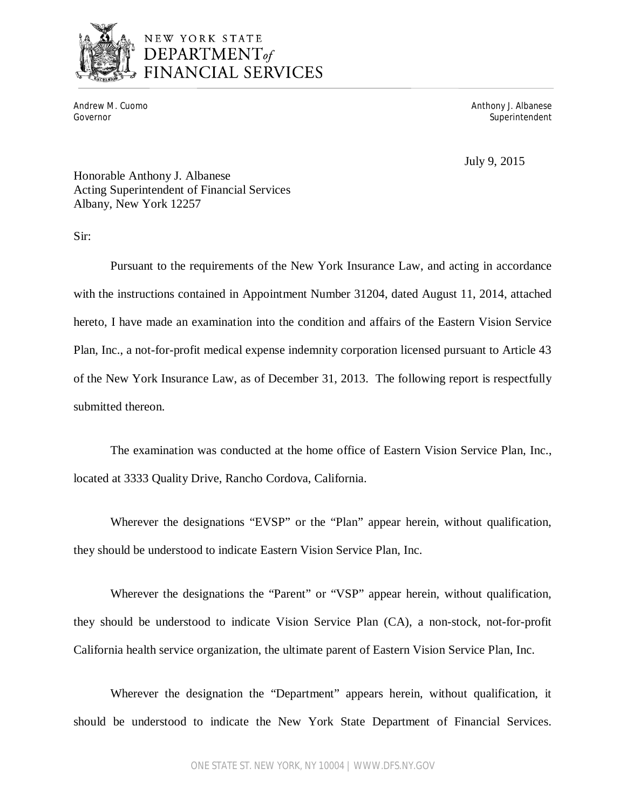

# NEW YORK STATE DEPARTMENT<sub>of</sub> FINANCIAL SERVICES

Andrew M. Cuomo<br>Governor

Anthony J. Albanese Superintendent

July 9, 2015

 Honorable Anthony J. Albanese Acting Superintendent of Financial Services Albany, New York 12257

Sir:

 Pursuant to the requirements of the New York Insurance Law, and acting in accordance with the instructions contained in Appointment Number 31204, dated August 11, 2014, attached hereto, I have made an examination into the condition and affairs of the Eastern Vision Service Plan, Inc., a not-for-profit medical expense indemnity corporation licensed pursuant to Article 43 of the New York Insurance Law, as of December 31, 2013. The following report is respectfully submitted thereon.

 The examination was conducted at the home office of Eastern Vision Service Plan, Inc., located at 3333 Quality Drive, Rancho Cordova, California.

 Wherever the designations "EVSP" or the "Plan" appear herein, without qualification, they should be understood to indicate Eastern Vision Service Plan, Inc.

 Wherever the designations the "Parent" or "VSP" appear herein, without qualification, they should be understood to indicate Vision Service Plan (CA), a non-stock, not-for-profit California health service organization, the ultimate parent of Eastern Vision Service Plan, Inc.

 Wherever the designation the "Department" appears herein, without qualification, it should be understood to indicate the New York State Department of Financial Services.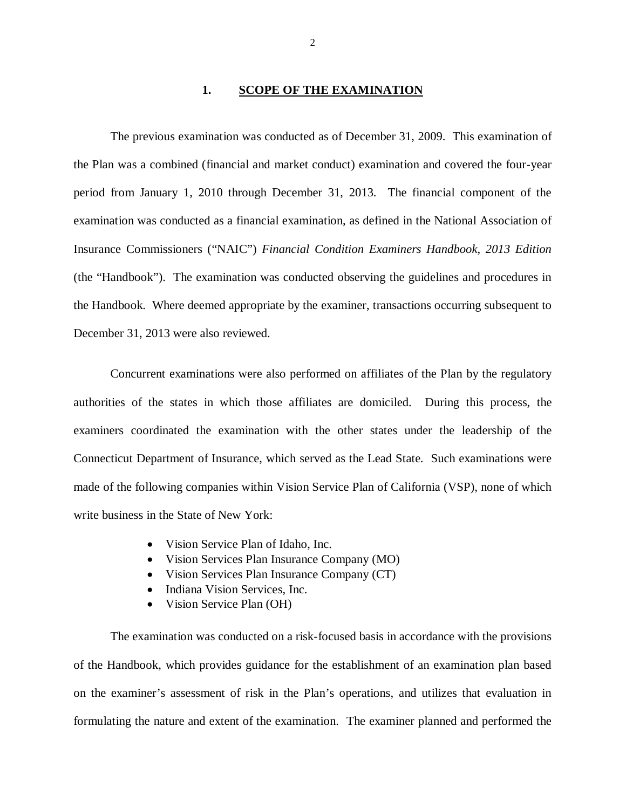#### **1. SCOPE OF THE EXAMINATION**

<span id="page-3-0"></span> The previous examination was conducted as of December 31, 2009. This examination of the Plan was a combined (financial and market conduct) examination and covered the four-year period from January 1, 2010 through December 31, 2013. The financial component of the examination was conducted as a financial examination, as defined in the National Association of Insurance Commissioners ("NAIC") *Financial Condition Examiners Handbook, 2013 Edition*  (the "Handbook"). The examination was conducted observing the guidelines and procedures in the Handbook. Where deemed appropriate by the examiner, transactions occurring subsequent to December 31, 2013 were also reviewed.

 Concurrent examinations were also performed on affiliates of the Plan by the regulatory authorities of the states in which those affiliates are domiciled. During this process, the examiners coordinated the examination with the other states under the leadership of the Connecticut Department of Insurance, which served as the Lead State. Such examinations were made of the following companies within Vision Service Plan of California (VSP), none of which write business in the State of New York:

- Vision Service Plan of Idaho, Inc.
- Vision Services Plan Insurance Company (MO)
- Vision Services Plan Insurance Company (CT)
- Indiana Vision Services, Inc.
- Vision Service Plan (OH)

 The examination was conducted on a risk-focused basis in accordance with the provisions of the Handbook, which provides guidance for the establishment of an examination plan based on the examiner's assessment of risk in the Plan's operations, and utilizes that evaluation in formulating the nature and extent of the examination. The examiner planned and performed the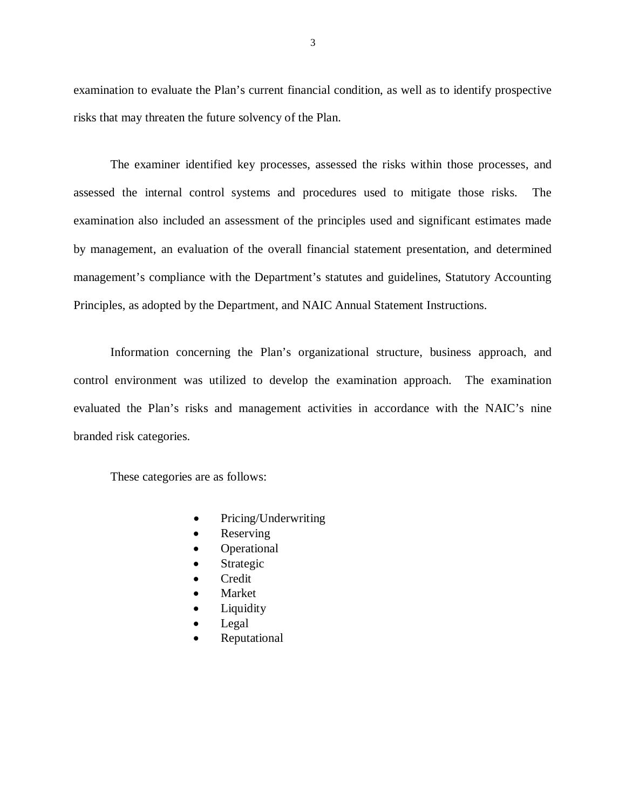examination to evaluate the Plan's current financial condition, as well as to identify prospective risks that may threaten the future solvency of the Plan.

 The examiner identified key processes, assessed the risks within those processes, and assessed the internal control systems and procedures used to mitigate those risks. The examination also included an assessment of the principles used and significant estimates made by management, an evaluation of the overall financial statement presentation, and determined management's compliance with the Department's statutes and guidelines, Statutory Accounting Principles, as adopted by the Department, and NAIC Annual Statement Instructions.

 Information concerning the Plan's organizational structure, business approach, and control environment was utilized to develop the examination approach. The examination evaluated the Plan's risks and management activities in accordance with the NAIC's nine branded risk categories.

These categories are as follows:

- Pricing/Underwriting
- Reserving
- **Operational**
- Strategic
- Credit
- Market
- Liquidity
- Legal
- Reputational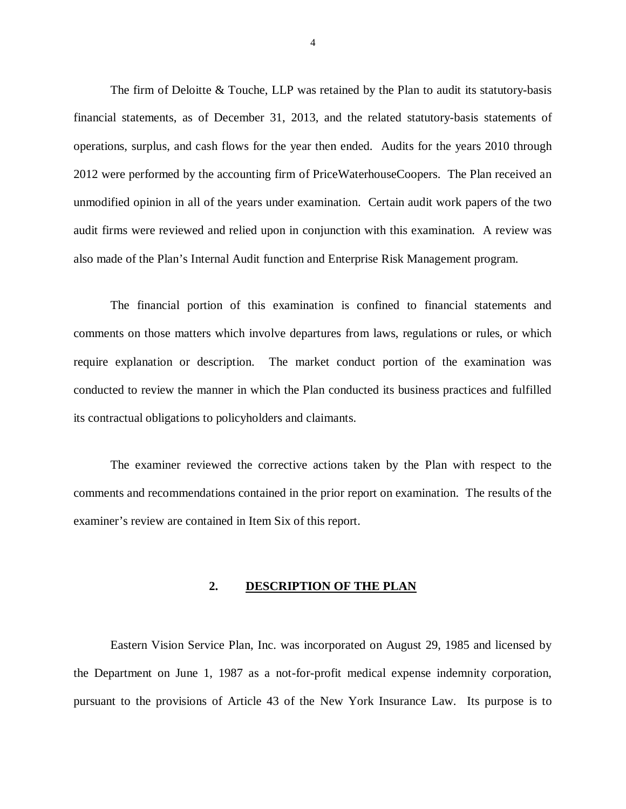<span id="page-5-0"></span> The firm of Deloitte & Touche, LLP was retained by the Plan to audit its statutory-basis financial statements, as of December 31, 2013, and the related statutory-basis statements of operations, surplus, and cash flows for the year then ended. Audits for the years 2010 through 2012 were performed by the accounting firm of PriceWaterhouseCoopers. The Plan received an unmodified opinion in all of the years under examination. Certain audit work papers of the two audit firms were reviewed and relied upon in conjunction with this examination. A review was also made of the Plan's Internal Audit function and Enterprise Risk Management program.

 The financial portion of this examination is confined to financial statements and comments on those matters which involve departures from laws, regulations or rules, or which require explanation or description. The market conduct portion of the examination was conducted to review the manner in which the Plan conducted its business practices and fulfilled its contractual obligations to policyholders and claimants.

 The examiner reviewed the corrective actions taken by the Plan with respect to the comments and recommendations contained in the prior report on examination. The results of the examiner's review are contained in Item Six of this report.

#### **2. DESCRIPTION OF THE PLAN**

 Eastern Vision Service Plan, Inc. was incorporated on August 29, 1985 and licensed by the Department on June 1, 1987 as a not-for-profit medical expense indemnity corporation, pursuant to the provisions of Article 43 of the New York Insurance Law. Its purpose is to

4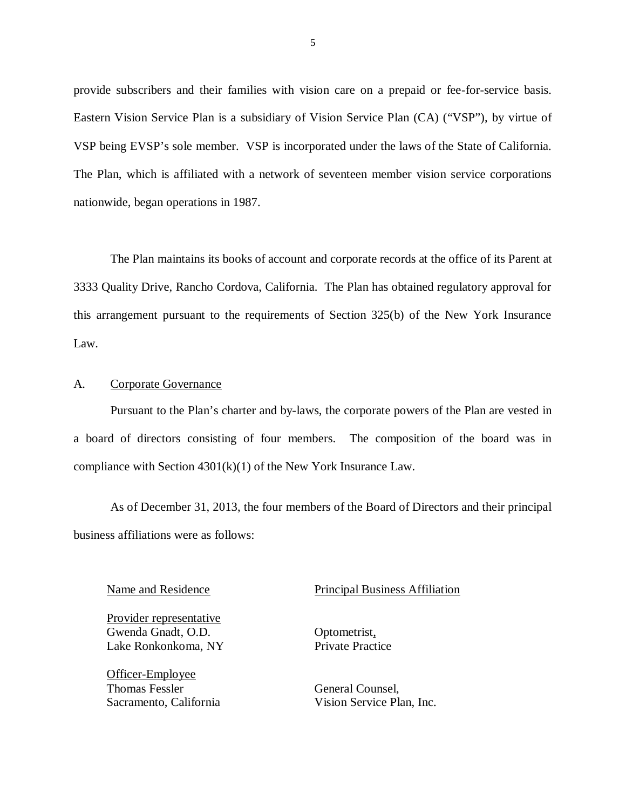provide subscribers and their families with vision care on a prepaid or fee-for-service basis. Eastern Vision Service Plan is a subsidiary of Vision Service Plan (CA) ("VSP"), by virtue of VSP being EVSP's sole member. VSP is incorporated under the laws of the State of California. The Plan, which is affiliated with a network of seventeen member vision service corporations nationwide, began operations in 1987.

 The Plan maintains its books of account and corporate records at the office of its Parent at 3333 Quality Drive, Rancho Cordova, California. The Plan has obtained regulatory approval for this arrangement pursuant to the requirements of Section 325(b) of the New York Insurance Law.

#### A. Corporate Governance

 Pursuant to the Plan's charter and by-laws, the corporate powers of the Plan are vested in a board of directors consisting of four members. The composition of the board was in compliance with Section 4301(k)(1) of the New York Insurance Law.

 As of December 31, 2013, the four members of the Board of Directors and their principal business affiliations were as follows:

 Gwenda Gnadt, O.D. Lake Ronkonkoma, NY Provider representative

 Thomas Fessler Sacramento, California Officer-Employee

Name and Residence **Principal Business** Affiliation

Optometrist, Private Practice

General Counsel, Vision Service Plan, Inc.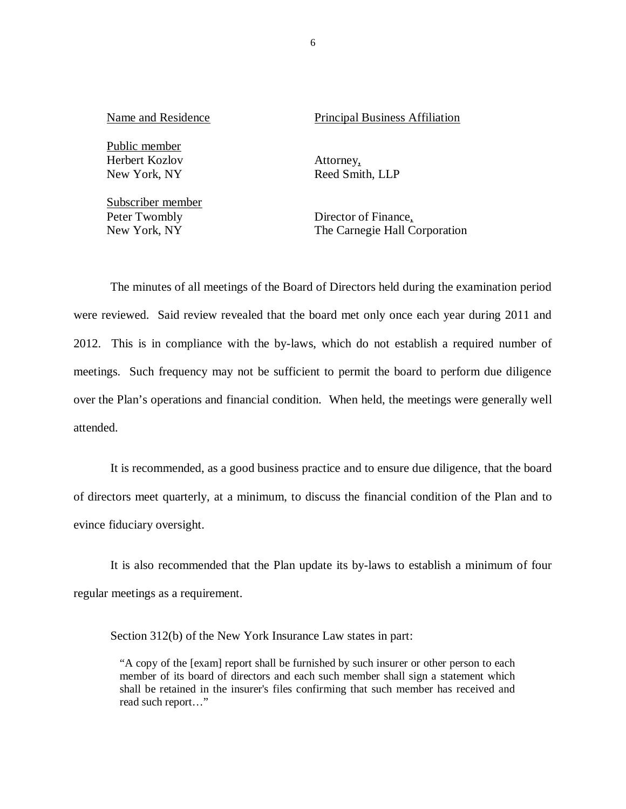Public member Herbert Kozlov New York, NY

 Subscriber member Peter Twombly New York, NY

Name and Residence **Principal Business** Affiliation

Attorney, Reed Smith, LLP

Director of Finance, The Carnegie Hall Corporation

 The minutes of all meetings of the Board of Directors held during the examination period were reviewed. Said review revealed that the board met only once each year during 2011 and 2012. This is in compliance with the by-laws, which do not establish a required number of meetings. Such frequency may not be sufficient to permit the board to perform due diligence over the Plan's operations and financial condition. When held, the meetings were generally well attended.

 It is recommended, as a good business practice and to ensure due diligence, that the board of directors meet quarterly, at a minimum, to discuss the financial condition of the Plan and to evince fiduciary oversight.

 It is also recommended that the Plan update its by-laws to establish a minimum of four regular meetings as a requirement.

Section 312(b) of the New York Insurance Law states in part:

 "A copy of the [exam] report shall be furnished by such insurer or other person to each member of its board of directors and each such member shall sign a statement which shall be retained in the insurer's files confirming that such member has received and read such report…"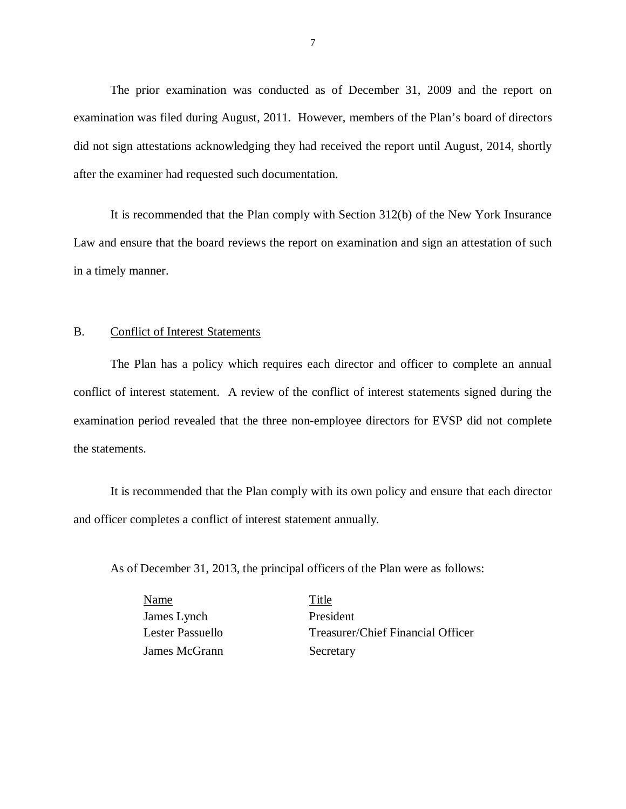The prior examination was conducted as of December 31, 2009 and the report on examination was filed during August, 2011. However, members of the Plan's board of directors did not sign attestations acknowledging they had received the report until August, 2014, shortly after the examiner had requested such documentation.

 It is recommended that the Plan comply with Section 312(b) of the New York Insurance Law and ensure that the board reviews the report on examination and sign an attestation of such in a timely manner.

#### B. Conflict of Interest Statements

 The Plan has a policy which requires each director and officer to complete an annual conflict of interest statement. A review of the conflict of interest statements signed during the examination period revealed that the three non-employee directors for EVSP did not complete the statements.

 It is recommended that the Plan comply with its own policy and ensure that each director and officer completes a conflict of interest statement annually.

As of December 31, 2013, the principal officers of the Plan were as follows:

 James Lynch President **Lester Passuello** James McGrann Secretary Name Title

Treasurer/Chief Financial Officer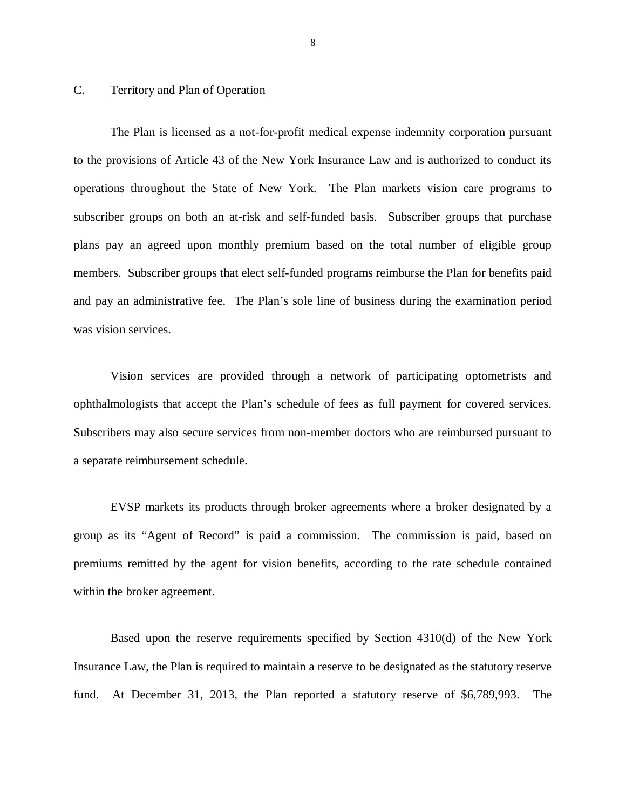#### <span id="page-9-0"></span>C. Territory and Plan of Operation

 The Plan is licensed as a not-for-profit medical expense indemnity corporation pursuant to the provisions of Article 43 of the New York Insurance Law and is authorized to conduct its operations throughout the State of New York. The Plan markets vision care programs to subscriber groups on both an at-risk and self-funded basis. Subscriber groups that purchase plans pay an agreed upon monthly premium based on the total number of eligible group members. Subscriber groups that elect self-funded programs reimburse the Plan for benefits paid and pay an administrative fee. The Plan's sole line of business during the examination period was vision services.

 Vision services are provided through a network of participating optometrists and ophthalmologists that accept the Plan's schedule of fees as full payment for covered services. Subscribers may also secure services from non-member doctors who are reimbursed pursuant to a separate reimbursement schedule.

 EVSP markets its products through broker agreements where a broker designated by a group as its "Agent of Record" is paid a commission. The commission is paid, based on premiums remitted by the agent for vision benefits, according to the rate schedule contained within the broker agreement.

 Based upon the reserve requirements specified by Section 4310(d) of the New York Insurance Law, the Plan is required to maintain a reserve to be designated as the statutory reserve fund. At December 31, 2013, the Plan reported a statutory reserve of \$6,789,993. The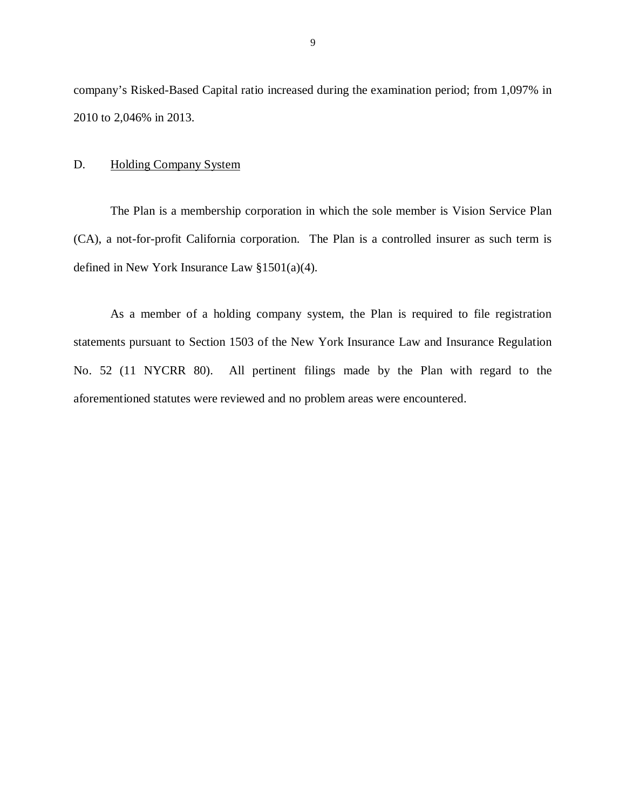<span id="page-10-0"></span> company's Risked-Based Capital ratio increased during the examination period; from 1,097% in 2010 to 2,046% in 2013.

#### D. Holding Company System

 The Plan is a membership corporation in which the sole member is Vision Service Plan (CA), a not-for-profit California corporation. The Plan is a controlled insurer as such term is defined in New York Insurance Law  $\S 1501(a)(4)$ .

defined in New York Insurance Law §1501(a)(4).<br>As a member of a holding company system, the Plan is required to file registration statements pursuant to Section 1503 of the New York Insurance Law and Insurance Regulation No. 52 (11 NYCRR 80). All pertinent filings made by the Plan with regard to the aforementioned statutes were reviewed and no problem areas were encountered.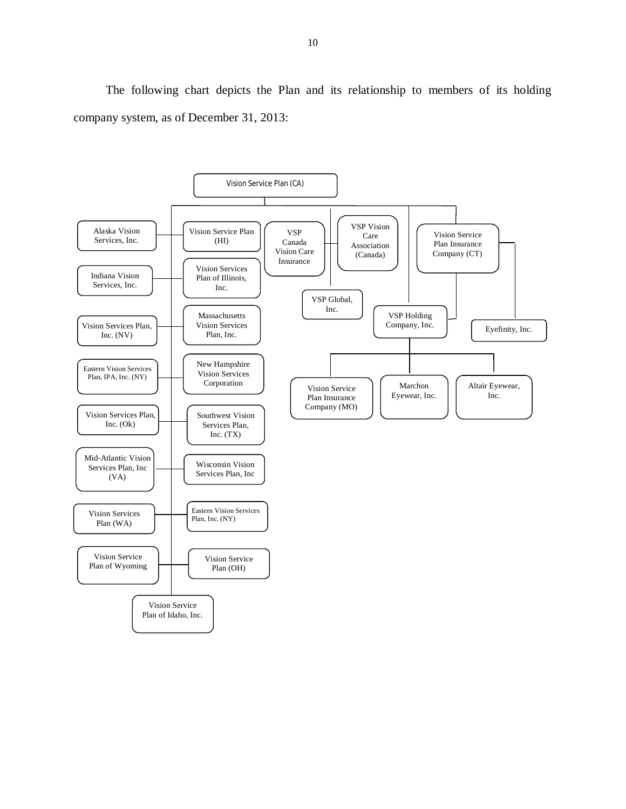The following chart depicts the Plan and its relationship to members of its holding company system, as of December 31, 2013:

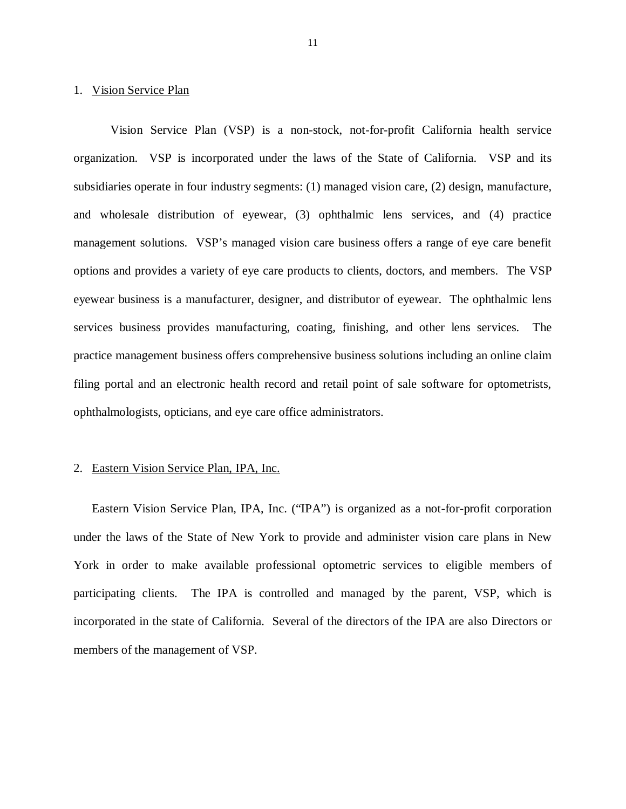#### 1. Vision Service Plan

 Vision Service Plan (VSP) is a non-stock, not-for-profit California health service organization. VSP is incorporated under the laws of the State of California. VSP and its subsidiaries operate in four industry segments: (1) managed vision care, (2) design, manufacture, and wholesale distribution of eyewear, (3) ophthalmic lens services, and (4) practice management solutions. VSP's managed vision care business offers a range of eye care benefit options and provides a variety of eye care products to clients, doctors, and members. The VSP eyewear business is a manufacturer, designer, and distributor of eyewear. The ophthalmic lens services business provides manufacturing, coating, finishing, and other lens services. The practice management business offers comprehensive business solutions including an online claim filing portal and an electronic health record and retail point of sale software for optometrists, ophthalmologists, opticians, and eye care office administrators.

#### 2. Eastern Vision Service Plan, IPA, Inc.

 Eastern Vision Service Plan, IPA, Inc. ("IPA") is organized as a not-for-profit corporation under the laws of the State of New York to provide and administer vision care plans in New York in order to make available professional optometric services to eligible members of participating clients. The IPA is controlled and managed by the parent, VSP, which is incorporated in the state of California. Several of the directors of the IPA are also Directors or members of the management of VSP.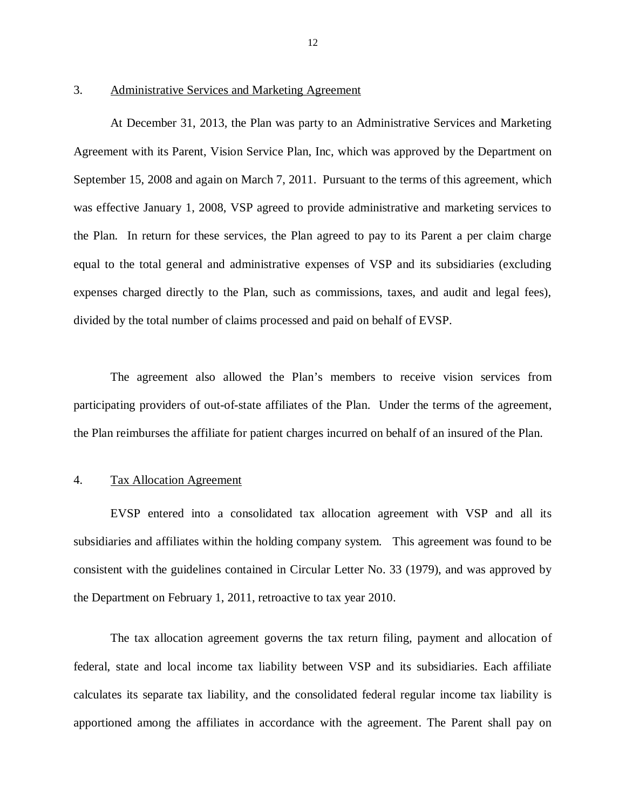#### 3. Administrative Services and Marketing Agreement

 At December 31, 2013, the Plan was party to an Administrative Services and Marketing Agreement with its Parent, Vision Service Plan, Inc, which was approved by the Department on September 15, 2008 and again on March 7, 2011. Pursuant to the terms of this agreement, which was effective January 1, 2008, VSP agreed to provide administrative and marketing services to the Plan. In return for these services, the Plan agreed to pay to its Parent a per claim charge equal to the total general and administrative expenses of VSP and its subsidiaries (excluding expenses charged directly to the Plan, such as commissions, taxes, and audit and legal fees), divided by the total number of claims processed and paid on behalf of EVSP.

 The agreement also allowed the Plan's members to receive vision services from participating providers of out-of-state affiliates of the Plan. Under the terms of the agreement, the Plan reimburses the affiliate for patient charges incurred on behalf of an insured of the Plan.

#### 4. Tax Allocation Agreement

 EVSP entered into a consolidated tax allocation agreement with VSP and all its subsidiaries and affiliates within the holding company system. This agreement was found to be consistent with the guidelines contained in Circular Letter No. 33 (1979), and was approved by the Department on February 1, 2011, retroactive to tax year 2010.

 The tax allocation agreement governs the tax return filing, payment and allocation of federal, state and local income tax liability between VSP and its subsidiaries. Each affiliate calculates its separate tax liability, and the consolidated federal regular income tax liability is apportioned among the affiliates in accordance with the agreement. The Parent shall pay on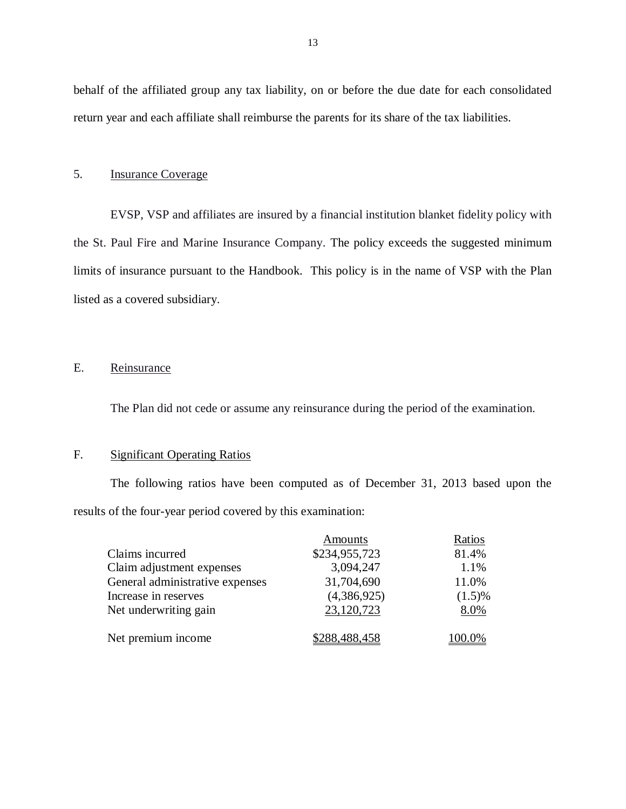behalf of the affiliated group any tax liability, on or before the due date for each consolidated return year and each affiliate shall reimburse the parents for its share of the tax liabilities.

#### 5. **Insurance Coverage**

 EVSP, VSP and affiliates are insured by a financial institution blanket fidelity policy with the St. Paul Fire and Marine Insurance Company. The policy exceeds the suggested minimum limits of insurance pursuant to the Handbook. This policy is in the name of VSP with the Plan listed as a covered subsidiary.

#### E. Reinsurance

The Plan did not cede or assume any reinsurance during the period of the examination.

#### F. Significant Operating Ratios

 The following ratios have been computed as of December 31, 2013 based upon the results of the four-year period covered by this examination:

|                                 | Amounts       | Ratios    |
|---------------------------------|---------------|-----------|
| Claims incurred                 | \$234,955,723 | 81.4%     |
| Claim adjustment expenses       | 3,094,247     | 1.1%      |
| General administrative expenses | 31,704,690    | 11.0%     |
| Increase in reserves            | (4,386,925)   | $(1.5)\%$ |
| Net underwriting gain           | 23,120,723    | 8.0%      |
| Net premium income              | \$288,488,458 | $00.0\%$  |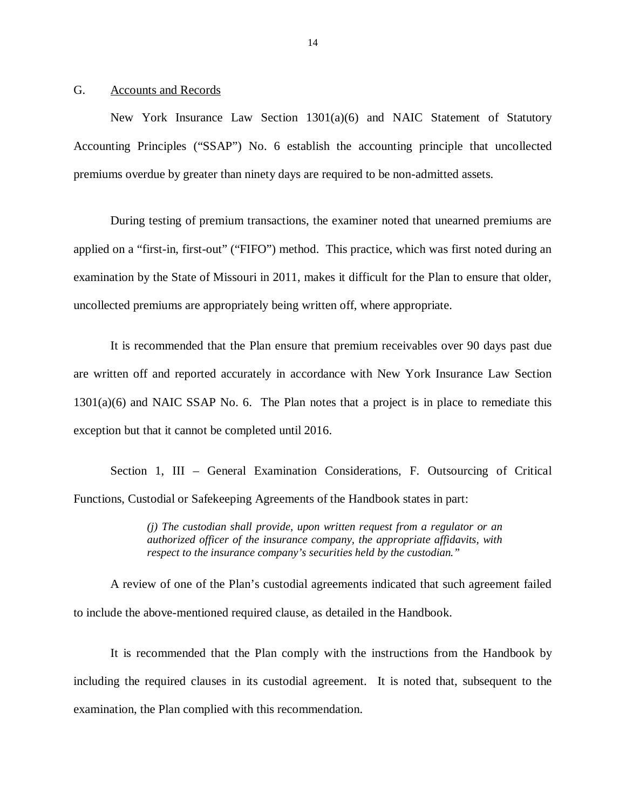#### <span id="page-15-0"></span>G. Accounts and Records

 New York Insurance Law Section 1301(a)(6) and NAIC Statement of Statutory Accounting Principles ("SSAP") No. 6 establish the accounting principle that uncollected premiums overdue by greater than ninety days are required to be non-admitted assets.

 During testing of premium transactions, the examiner noted that unearned premiums are applied on a "first-in, first-out" ("FIFO") method. This practice, which was first noted during an examination by the State of Missouri in 2011, makes it difficult for the Plan to ensure that older, uncollected premiums are appropriately being written off, where appropriate.

 It is recommended that the Plan ensure that premium receivables over 90 days past due are written off and reported accurately in accordance with New York Insurance Law Section 1301(a)(6) and NAIC SSAP No. 6. The Plan notes that a project is in place to remediate this exception but that it cannot be completed until 2016.

 Section 1, III – General Examination Considerations, F. Outsourcing of Critical Functions, Custodial or Safekeeping Agreements of the Handbook states in part:

> *(j) The custodian shall provide, upon written request from a regulator or an authorized officer of the insurance company, the appropriate affidavits, with respect to the insurance company's securities held by the custodian."*

 A review of one of the Plan's custodial agreements indicated that such agreement failed to include the above-mentioned required clause, as detailed in the Handbook.

 It is recommended that the Plan comply with the instructions from the Handbook by including the required clauses in its custodial agreement. It is noted that, subsequent to the examination, the Plan complied with this recommendation.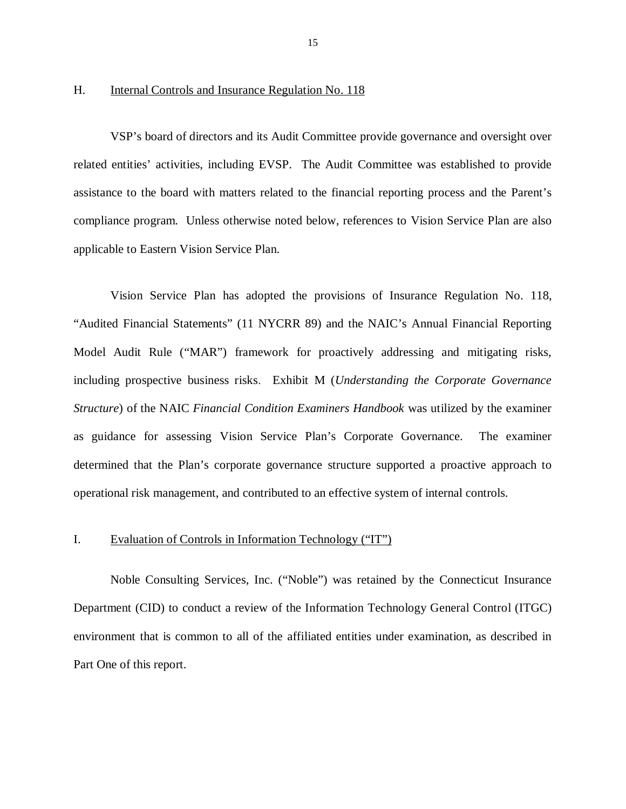#### <span id="page-16-0"></span>H. Internal Controls and Insurance Regulation No. 118

 VSP's board of directors and its Audit Committee provide governance and oversight over related entities' activities, including EVSP. The Audit Committee was established to provide assistance to the board with matters related to the financial reporting process and the Parent's compliance program. Unless otherwise noted below, references to Vision Service Plan are also applicable to Eastern Vision Service Plan.

 Vision Service Plan has adopted the provisions of Insurance Regulation No. 118, "Audited Financial Statements" (11 NYCRR 89) and the NAIC's Annual Financial Reporting Model Audit Rule ("MAR") framework for proactively addressing and mitigating risks, including prospective business risks. Exhibit M (*Understanding the Corporate Governance Structure*) of the NAIC *Financial Condition Examiners Handbook* was utilized by the examiner as guidance for assessing Vision Service Plan's Corporate Governance. The examiner determined that the Plan's corporate governance structure supported a proactive approach to operational risk management, and contributed to an effective system of internal controls.

#### I. Evaluation of Controls in Information Technology ("IT")

 Noble Consulting Services, Inc. ("Noble") was retained by the Connecticut Insurance Department (CID) to conduct a review of the Information Technology General Control (ITGC) environment that is common to all of the affiliated entities under examination, as described in Part One of this report.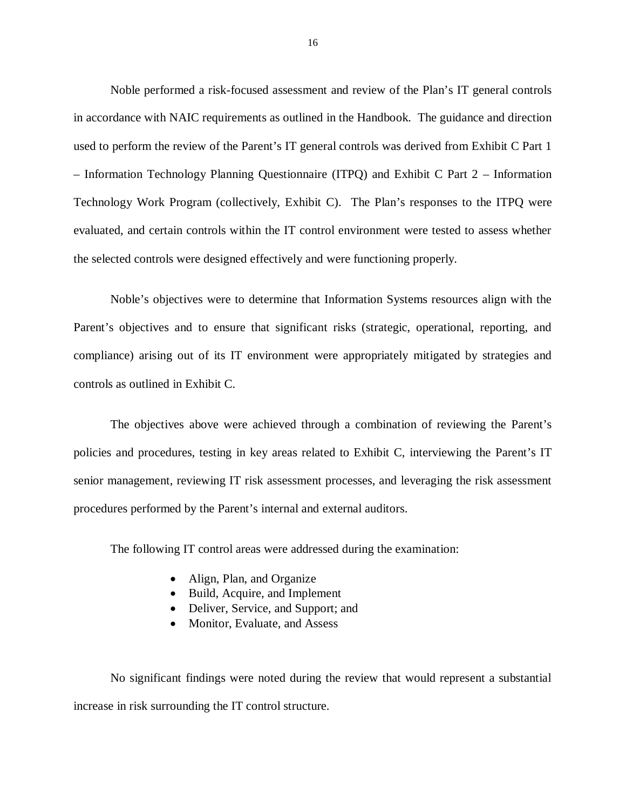Noble performed a risk-focused assessment and review of the Plan's IT general controls in accordance with NAIC requirements as outlined in the Handbook. The guidance and direction used to perform the review of the Parent's IT general controls was derived from Exhibit C Part 1 – Information Technology Planning Questionnaire (ITPQ) and Exhibit C Part 2 – Information Technology Work Program (collectively, Exhibit C). The Plan's responses to the ITPQ were evaluated, and certain controls within the IT control environment were tested to assess whether the selected controls were designed effectively and were functioning properly.

 Noble's objectives were to determine that Information Systems resources align with the Parent's objectives and to ensure that significant risks (strategic, operational, reporting, and compliance) arising out of its IT environment were appropriately mitigated by strategies and controls as outlined in Exhibit C.

 The objectives above were achieved through a combination of reviewing the Parent's policies and procedures, testing in key areas related to Exhibit C, interviewing the Parent's IT senior management, reviewing IT risk assessment processes, and leveraging the risk assessment procedures performed by the Parent's internal and external auditors.

The following IT control areas were addressed during the examination:

- Align, Plan, and Organize
- Build, Acquire, and Implement
- Deliver, Service, and Support; and
- Monitor, Evaluate, and Assess

 No significant findings were noted during the review that would represent a substantial increase in risk surrounding the IT control structure.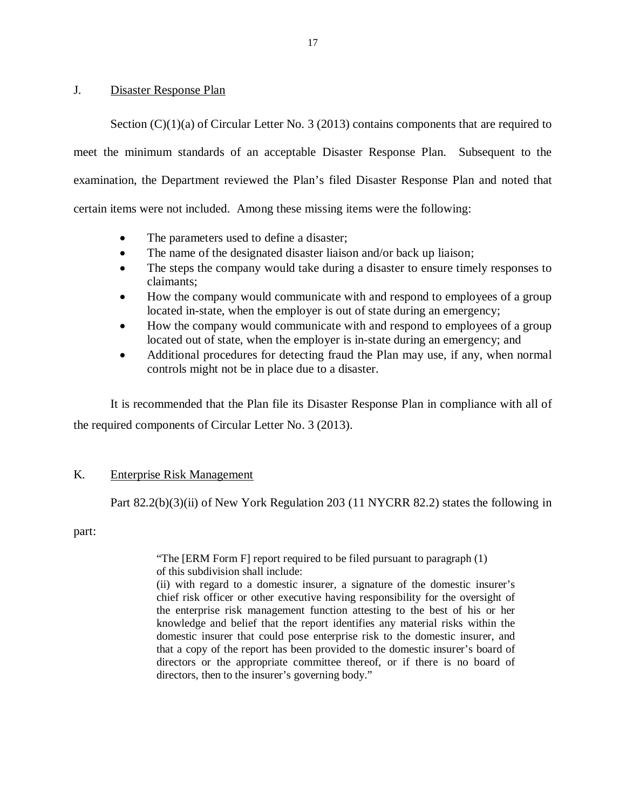#### <span id="page-18-0"></span>J. Disaster Response Plan

Section (C)(1)(a) of Circular Letter No. 3 (2013) contains components that are required to meet the minimum standards of an acceptable Disaster Response Plan. Subsequent to the examination, the Department reviewed the Plan's filed Disaster Response Plan and noted that certain items were not included. Among these missing items were the following:

- The parameters used to define a disaster;
- The name of the designated disaster liaison and/or back up liaison;
- The steps the company would take during a disaster to ensure timely responses to claimants;
- How the company would communicate with and respond to employees of a group located in-state, when the employer is out of state during an emergency;
- How the company would communicate with and respond to employees of a group located out of state, when the employer is in-state during an emergency; and
- Additional procedures for detecting fraud the Plan may use, if any, when normal controls might not be in place due to a disaster.

 It is recommended that the Plan file its Disaster Response Plan in compliance with all of the required components of Circular Letter No. 3 (2013).

#### K. Enterprise Risk Management

Part 82.2(b)(3)(ii) of New York Regulation 203 (11 NYCRR 82.2) states the following in

part:

 "The [ERM Form F] report required to be filed pursuant to paragraph (1) of this subdivision shall include:

 (ii) with regard to a domestic insurer, a signature of the domestic insurer's chief risk officer or other executive having responsibility for the oversight of the enterprise risk management function attesting to the best of his or her knowledge and belief that the report identifies any material risks within the domestic insurer that could pose enterprise risk to the domestic insurer, and that a copy of the report has been provided to the domestic insurer's board of directors or the appropriate committee thereof, or if there is no board of directors, then to the insurer's governing body."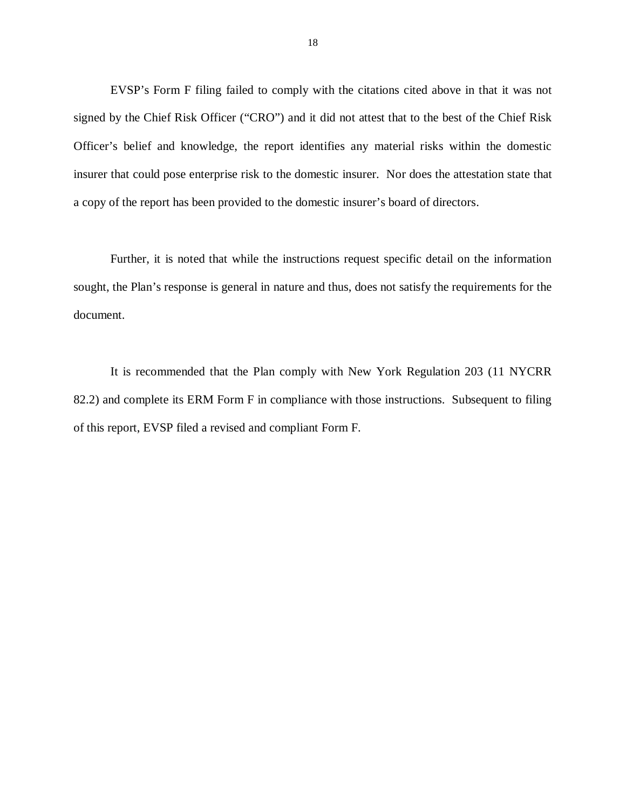EVSP's Form F filing failed to comply with the citations cited above in that it was not signed by the Chief Risk Officer ("CRO") and it did not attest that to the best of the Chief Risk Officer's belief and knowledge, the report identifies any material risks within the domestic insurer that could pose enterprise risk to the domestic insurer. Nor does the attestation state that a copy of the report has been provided to the domestic insurer's board of directors.

 Further, it is noted that while the instructions request specific detail on the information sought, the Plan's response is general in nature and thus, does not satisfy the requirements for the document.

 It is recommended that the Plan comply with New York Regulation 203 (11 NYCRR 82.2) and complete its ERM Form F in compliance with those instructions. Subsequent to filing of this report, EVSP filed a revised and compliant Form F.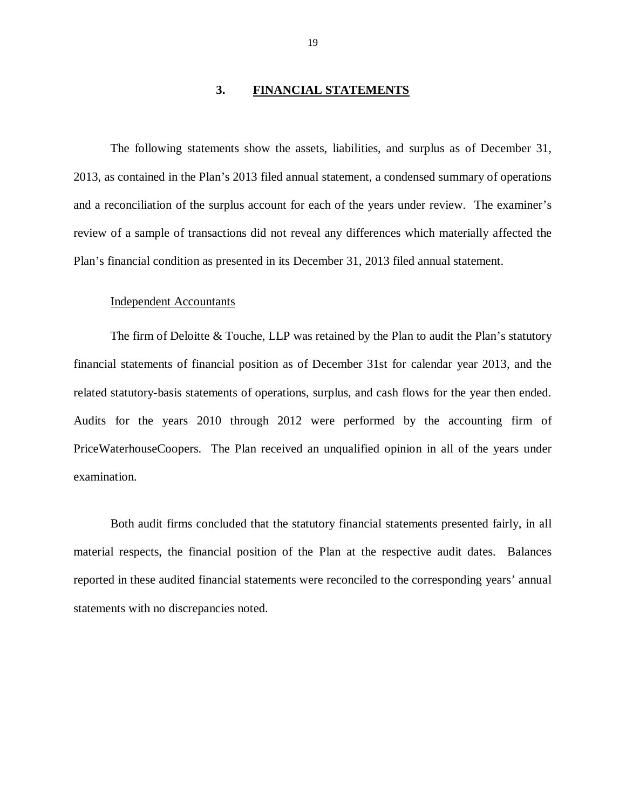#### **3. FINANCIAL STATEMENTS**

<span id="page-20-0"></span> The following statements show the assets, liabilities, and surplus as of December 31, 2013, as contained in the Plan's 2013 filed annual statement, a condensed summary of operations and a reconciliation of the surplus account for each of the years under review. The examiner's review of a sample of transactions did not reveal any differences which materially affected the Plan's financial condition as presented in its December 31, 2013 filed annual statement.

#### Independent Accountants

 The firm of Deloitte & Touche, LLP was retained by the Plan to audit the Plan's statutory financial statements of financial position as of December 31st for calendar year 2013, and the related statutory-basis statements of operations, surplus, and cash flows for the year then ended. Audits for the years 2010 through 2012 were performed by the accounting firm of PriceWaterhouseCoopers. The Plan received an unqualified opinion in all of the years under examination. examination.<br>Both audit firms concluded that the statutory financial statements presented fairly, in all

 material respects, the financial position of the Plan at the respective audit dates. Balances reported in these audited financial statements were reconciled to the corresponding years' annual statements with no discrepancies noted.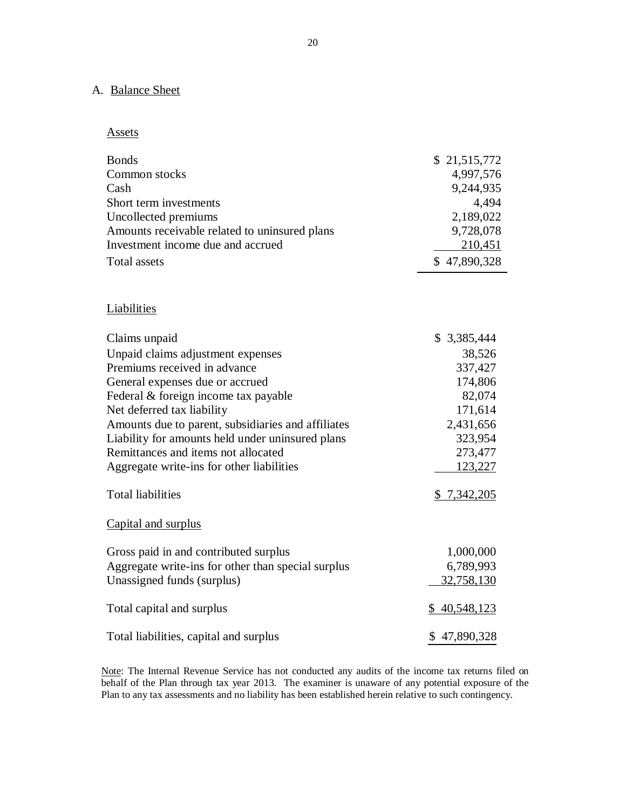#### A. Balance Sheet

**Assets** 

| <b>Bonds</b><br>Common stocks<br>Cash<br>Short term investments<br>Uncollected premiums<br>Amounts receivable related to uninsured plans<br>Investment income due and accrued<br><b>Total assets</b> | \$21,515,772<br>4,997,576<br>9,244,935<br>4,494<br>2,189,022<br>9,728,078<br>210,451<br>\$47,890,328 |
|------------------------------------------------------------------------------------------------------------------------------------------------------------------------------------------------------|------------------------------------------------------------------------------------------------------|
| Liabilities                                                                                                                                                                                          |                                                                                                      |
| Claims unpaid                                                                                                                                                                                        | \$ 3,385,444                                                                                         |
| Unpaid claims adjustment expenses                                                                                                                                                                    | 38,526                                                                                               |
| Premiums received in advance                                                                                                                                                                         | 337,427                                                                                              |
| General expenses due or accrued                                                                                                                                                                      | 174,806                                                                                              |
| Federal & foreign income tax payable                                                                                                                                                                 | 82,074                                                                                               |
| Net deferred tax liability                                                                                                                                                                           | 171,614                                                                                              |
| Amounts due to parent, subsidiaries and affiliates                                                                                                                                                   | 2,431,656                                                                                            |
| Liability for amounts held under uninsured plans                                                                                                                                                     | 323,954                                                                                              |
| Remittances and items not allocated                                                                                                                                                                  | 273,477                                                                                              |
| Aggregate write-ins for other liabilities                                                                                                                                                            | 123,227                                                                                              |
| <b>Total liabilities</b>                                                                                                                                                                             | \$7,342,205                                                                                          |
| Capital and surplus                                                                                                                                                                                  |                                                                                                      |
| Gross paid in and contributed surplus                                                                                                                                                                | 1,000,000                                                                                            |
| Aggregate write-ins for other than special surplus                                                                                                                                                   | 6,789,993                                                                                            |
| Unassigned funds (surplus)                                                                                                                                                                           | 32,758,130                                                                                           |
| Total capital and surplus                                                                                                                                                                            | \$40,548,123                                                                                         |
| Total liabilities, capital and surplus                                                                                                                                                               | \$47,890,328                                                                                         |

Note: The Internal Revenue Service has not conducted any audits of the income tax returns filed on behalf of the Plan through tax year 2013. The examiner is unaware of any potential exposure of the Plan to any tax assessments and no liability has been established herein relative to such contingency.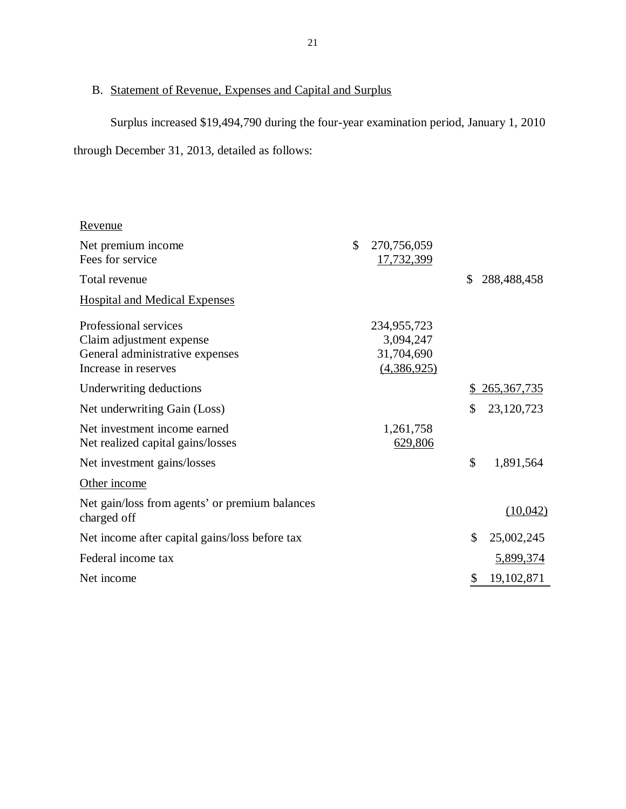#### B. Statement of Revenue, Expenses and Capital and Surplus

Surplus increased \$19,494,790 during the four-year examination period, January 1, 2010

through December 31, 2013, detailed as follows:

| \$<br>270,756,059<br>Net premium income<br>Fees for service<br>17,732,399<br>\$<br>Total revenue<br>288,488,458<br><b>Hospital and Medical Expenses</b><br>Professional services<br>234,955,723<br>Claim adjustment expense<br>3,094,247<br>31,704,690<br>General administrative expenses<br>Increase in reserves<br>(4,386,925)<br>Underwriting deductions<br>265, 367, 735<br>\$<br>\$<br>23,120,723<br>Net underwriting Gain (Loss)<br>Net investment income earned<br>1,261,758<br>629,806<br>Net realized capital gains/losses<br>$\mathcal{S}$<br>1,891,564<br>Net investment gains/losses<br>Other income<br>Net gain/loss from agents' or premium balances<br>(10,042)<br>charged off<br>\$<br>25,002,245<br>Net income after capital gains/loss before tax<br>Federal income tax<br><u>5,899,374</u><br>19,102,871<br>Net income<br>\$ | <u>Revenue</u> |  |  |
|-------------------------------------------------------------------------------------------------------------------------------------------------------------------------------------------------------------------------------------------------------------------------------------------------------------------------------------------------------------------------------------------------------------------------------------------------------------------------------------------------------------------------------------------------------------------------------------------------------------------------------------------------------------------------------------------------------------------------------------------------------------------------------------------------------------------------------------------------|----------------|--|--|
|                                                                                                                                                                                                                                                                                                                                                                                                                                                                                                                                                                                                                                                                                                                                                                                                                                                 |                |  |  |
|                                                                                                                                                                                                                                                                                                                                                                                                                                                                                                                                                                                                                                                                                                                                                                                                                                                 |                |  |  |
|                                                                                                                                                                                                                                                                                                                                                                                                                                                                                                                                                                                                                                                                                                                                                                                                                                                 |                |  |  |
|                                                                                                                                                                                                                                                                                                                                                                                                                                                                                                                                                                                                                                                                                                                                                                                                                                                 |                |  |  |
|                                                                                                                                                                                                                                                                                                                                                                                                                                                                                                                                                                                                                                                                                                                                                                                                                                                 |                |  |  |
|                                                                                                                                                                                                                                                                                                                                                                                                                                                                                                                                                                                                                                                                                                                                                                                                                                                 |                |  |  |
|                                                                                                                                                                                                                                                                                                                                                                                                                                                                                                                                                                                                                                                                                                                                                                                                                                                 |                |  |  |
|                                                                                                                                                                                                                                                                                                                                                                                                                                                                                                                                                                                                                                                                                                                                                                                                                                                 |                |  |  |
|                                                                                                                                                                                                                                                                                                                                                                                                                                                                                                                                                                                                                                                                                                                                                                                                                                                 |                |  |  |
|                                                                                                                                                                                                                                                                                                                                                                                                                                                                                                                                                                                                                                                                                                                                                                                                                                                 |                |  |  |
|                                                                                                                                                                                                                                                                                                                                                                                                                                                                                                                                                                                                                                                                                                                                                                                                                                                 |                |  |  |
|                                                                                                                                                                                                                                                                                                                                                                                                                                                                                                                                                                                                                                                                                                                                                                                                                                                 |                |  |  |
|                                                                                                                                                                                                                                                                                                                                                                                                                                                                                                                                                                                                                                                                                                                                                                                                                                                 |                |  |  |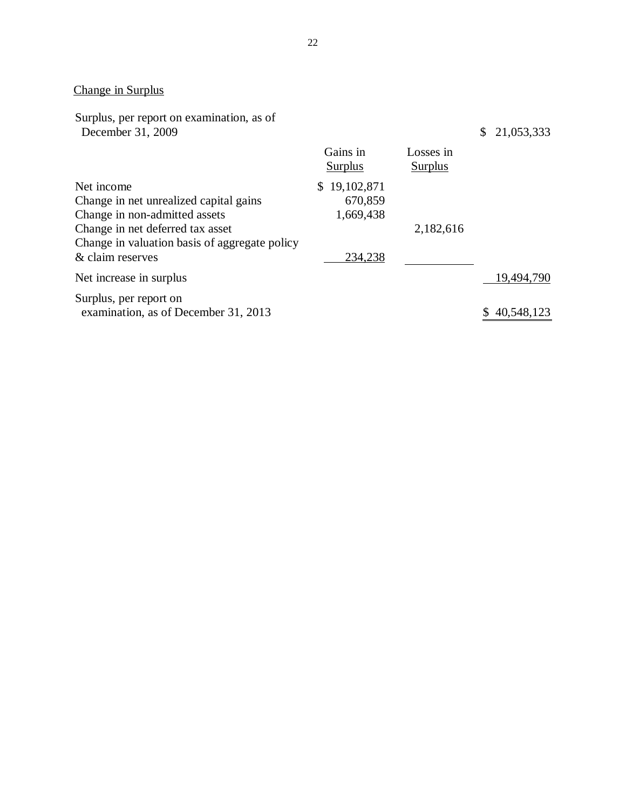#### Change in Surplus

Surplus, per report on examination, as of December 31, 2009 \$ 21,053,333

|                                               | Gains in<br>Surplus | Losses in<br><b>Surplus</b> |            |
|-----------------------------------------------|---------------------|-----------------------------|------------|
| Net income                                    | 19,102,871<br>S.    |                             |            |
| Change in net unrealized capital gains        | 670,859             |                             |            |
| Change in non-admitted assets                 | 1,669,438           |                             |            |
| Change in net deferred tax asset              |                     | 2,182,616                   |            |
| Change in valuation basis of aggregate policy |                     |                             |            |
| & claim reserves                              | 234,238             |                             |            |
| Net increase in surplus                       |                     |                             | 19,494,790 |
| Surplus, per report on                        |                     |                             |            |
| examination, as of December 31, 2013          |                     |                             | 40,548,123 |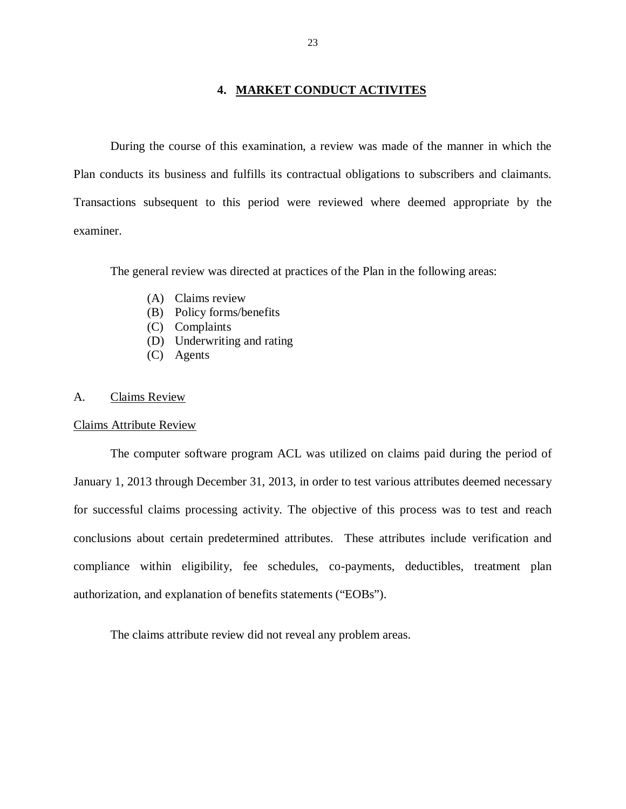#### **4. MARKET CONDUCT ACTIVITES**

<span id="page-24-0"></span> During the course of this examination, a review was made of the manner in which the Plan conducts its business and fulfills its contractual obligations to subscribers and claimants. Transactions subsequent to this period were reviewed where deemed appropriate by the examiner.

The general review was directed at practices of the Plan in the following areas:

- (A) Claims review
- (B) Policy forms/benefits
- (C) Complaints
- (D) Underwriting and rating
- (C) Agents

#### A. Claims Review

#### Claims Attribute Review

 The computer software program ACL was utilized on claims paid during the period of January 1, 2013 through December 31, 2013, in order to test various attributes deemed necessary for successful claims processing activity. The objective of this process was to test and reach conclusions about certain predetermined attributes. These attributes include verification and compliance within eligibility, fee schedules, co-payments, deductibles, treatment plan authorization, and explanation of benefits statements ("EOBs").

The claims attribute review did not reveal any problem areas.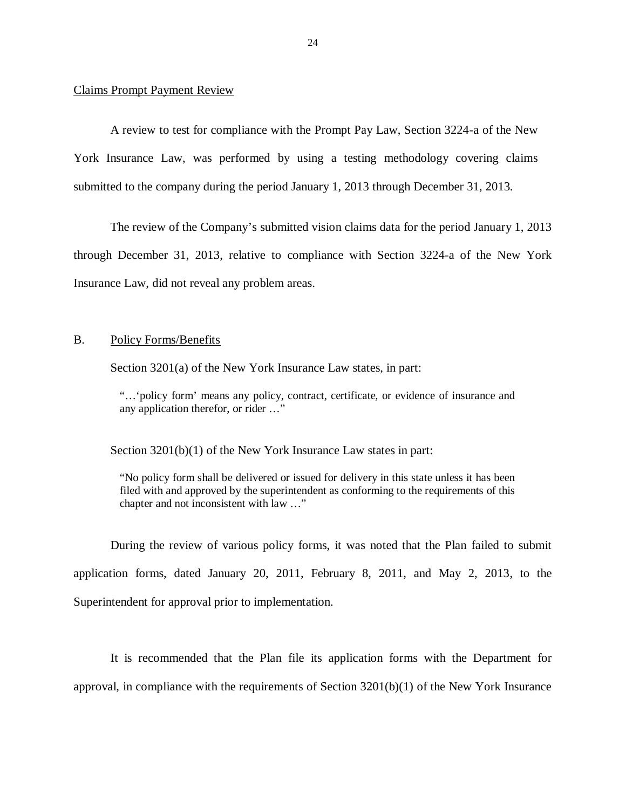#### <span id="page-25-0"></span>Claims Prompt Payment Review

 A review to test for compliance with the Prompt Pay Law, Section 3224-a of the New York Insurance Law, was performed by using a testing methodology covering claims submitted to the company during the period January 1, 2013 through December 31, 2013.

 The review of the Company's submitted vision claims data for the period January 1, 2013 through December 31, 2013, relative to compliance with Section 3224-a of the New York Insurance Law, did not reveal any problem areas.

#### **B.** Policy Forms/Benefits

Section 3201(a) of the New York Insurance Law states, in part:

 "…'policy form' means any policy, contract, certificate, or evidence of insurance and any application therefor, or rider …"

Section 3201(b)(1) of the New York Insurance Law states in part:

 "No policy form shall be delivered or issued for delivery in this state unless it has been filed with and approved by the superintendent as conforming to the requirements of this chapter and not inconsistent with law …"

 During the review of various policy forms, it was noted that the Plan failed to submit application forms, dated January 20, 2011, February 8, 2011, and May 2, 2013, to the Superintendent for approval prior to implementation.

 It is recommended that the Plan file its application forms with the Department for approval, in compliance with the requirements of Section 3201(b)(1) of the New York Insurance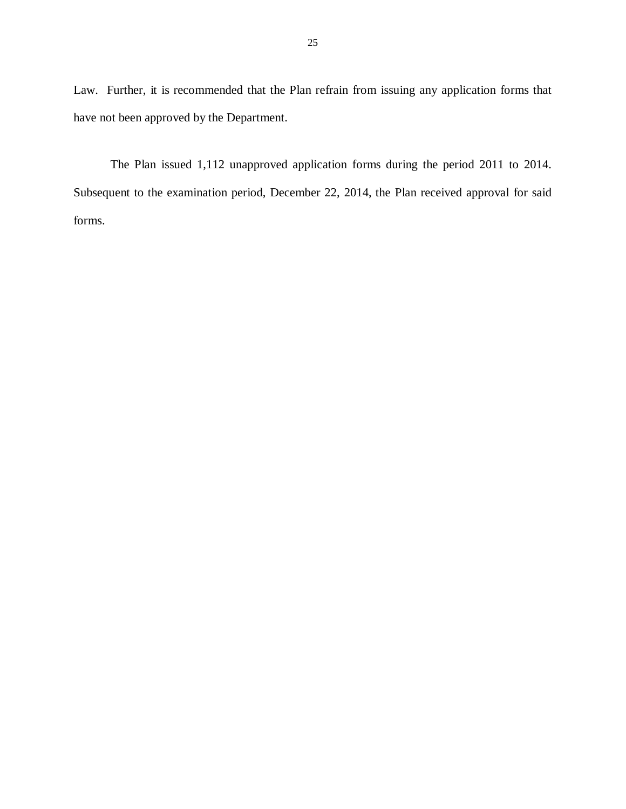Law. Further, it is recommended that the Plan refrain from issuing any application forms that have not been approved by the Department.

 The Plan issued 1,112 unapproved application forms during the period 2011 to 2014. Subsequent to the examination period, December 22, 2014, the Plan received approval for said forms.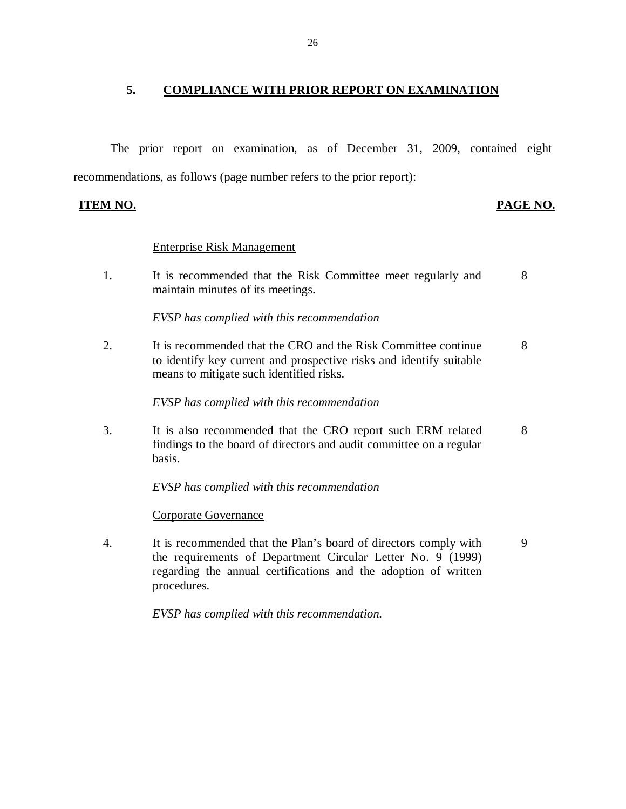### <span id="page-27-0"></span> **5. COMPLIANCE WITH PRIOR REPORT ON EXAMINATION**

 The prior report on examination, as of December 31, 2009, contained eight recommendations, as follows (page number refers to the prior report):

**ITEM NO.** 

#### **PAGE NO.**

#### Enterprise Risk Management

 $1<sub>1</sub>$  maintain minutes of its meetings. It is recommended that the Risk Committee meet regularly and 8

 *EVSP has complied with this recommendation* 

 $\overline{2}$ . to identify key current and prospective risks and identify suitable means to mitigate such identified risks. It is recommended that the CRO and the Risk Committee continue 8

 *EVSP has complied with this recommendation* 

 $3.$  findings to the board of directors and audit committee on a regular basis. It is also recommended that the CRO report such ERM related 8

 *EVSP has complied with this recommendation* 

Corporate Governance

 $\overline{4}$ . the requirements of Department Circular Letter No. 9 (1999) regarding the annual certifications and the adoption of written It is recommended that the Plan's board of directors comply with 9 procedures.

 *EVSP has complied with this recommendation.*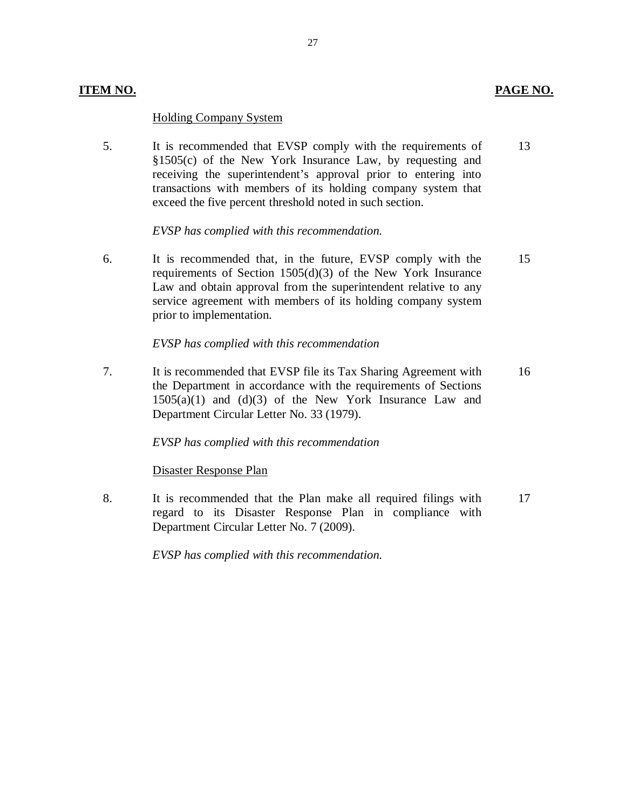#### **ITEM NO. PAGE NO. PAGE NO.**

#### Holding Company System

5. §1505(c) of the New York Insurance Law, by requesting and receiving the superintendent's approval prior to entering into transactions with members of its holding company system that exceed the five percent threshold noted in such section. It is recommended that EVSP comply with the requirements of 13

 *EVSP has complied with this recommendation.* 

6. requirements of Section 1505(d)(3) of the New York Insurance Law and obtain approval from the superintendent relative to any service agreement with members of its holding company system It is recommended that, in the future, EVSP comply with the prior to implementation. 15

### *EVSP has complied with this recommendation*

 $7.$  the Department in accordance with the requirements of Sections  $1505(a)(1)$  and  $(d)(3)$  of the New York Insurance Law and Department Circular Letter No. 33 (1979). It is recommended that EVSP file its Tax Sharing Agreement with 16

#### *EVSP has complied with this recommendation*

#### Disaster Response Plan

8. regard to its Disaster Response Plan in compliance with Department Circular Letter No. 7 (2009). It is recommended that the Plan make all required filings with 17

 *EVSP has complied with this recommendation.*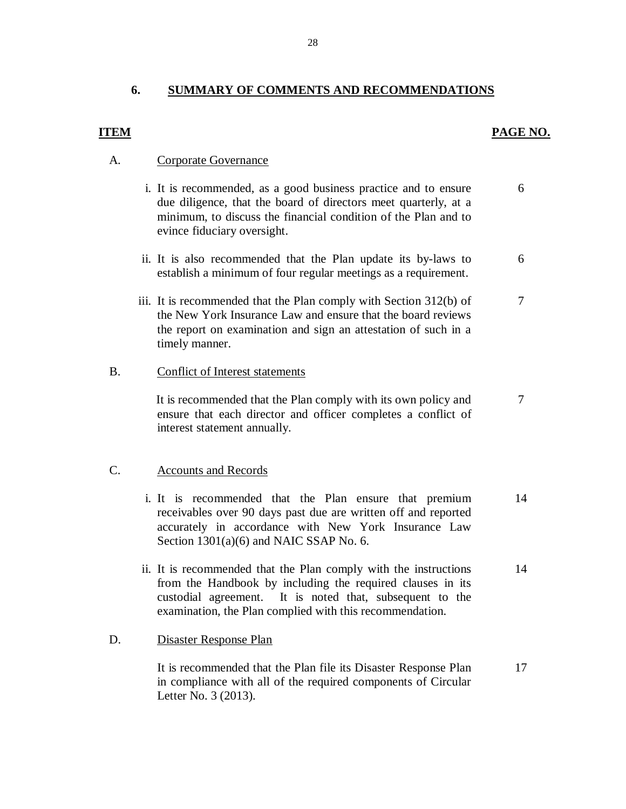#### **ITEM PAGE NO.**

#### A. Corporate Governance

- i. It is recommended, as a good business practice and to ensure due diligence, that the board of directors meet quarterly, at a minimum, to discuss the financial condition of the Plan and to evince fiduciary oversight. 6
- ii. It is also recommended that the Plan update its by-laws to establish a minimum of four regular meetings as a requirement. 6
- iii. It is recommended that the Plan comply with Section 312(b) of the New York Insurance Law and ensure that the board reviews the report on examination and sign an attestation of such in a timely manner. 7

#### B. Conflict of Interest statements

 It is recommended that the Plan comply with its own policy and ensure that each director and officer completes a conflict of interest statement annually. 7

#### C. Accounts and Records

- i. It is recommended that the Plan ensure that premium receivables over 90 days past due are written off and reported accurately in accordance with New York Insurance Law Section 1301(a)(6) and NAIC SSAP No. 6. 14
- ii. It is recommended that the Plan comply with the instructions from the Handbook by including the required clauses in its custodial agreement. It is noted that, subsequent to the examination, the Plan complied with this recommendation. 14

#### D. Disaster Response Plan

 It is recommended that the Plan file its Disaster Response Plan in compliance with all of the required components of Circular Letter No. 3 (2013). 17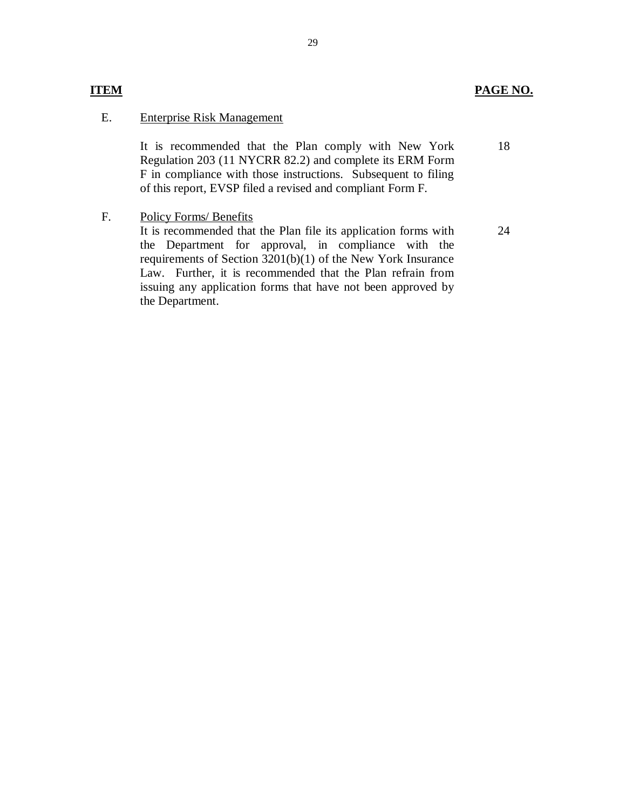### **ITEM**

#### **PAGE NO.**

24

#### E. Enterprise Risk Management

 It is recommended that the Plan comply with New York Regulation 203 (11 NYCRR 82.2) and complete its ERM Form F in compliance with those instructions. Subsequent to filing of this report, EVSP filed a revised and compliant Form F. 18

 $F.$ Policy Forms/ Benefits

> It is recommended that the Plan file its application forms with the Department for approval, in compliance with the requirements of Section 3201(b)(1) of the New York Insurance Law. Further, it is recommended that the Plan refrain from issuing any application forms that have not been approved by the Department.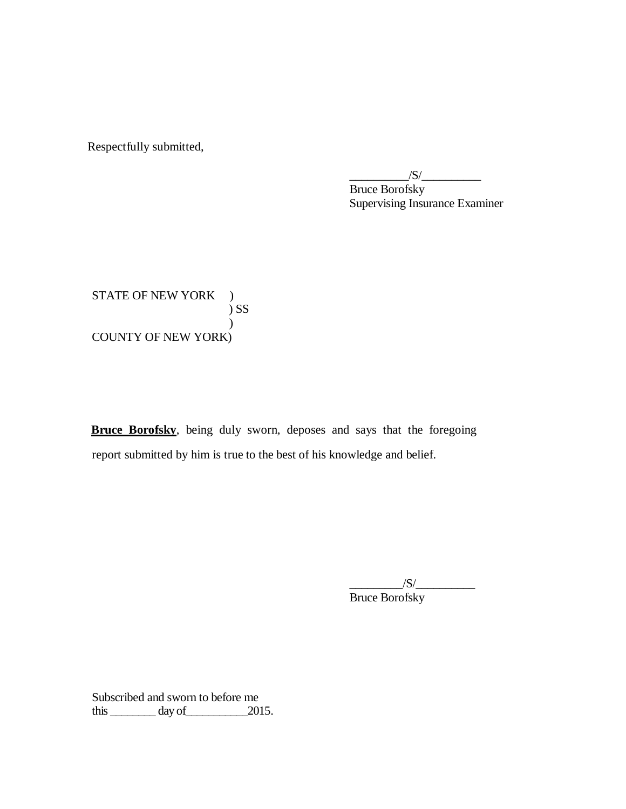Respectfully submitted,

 Bruce Borofsky Supervising Insurance Examiner  $\sqrt{S}/$ 

STATE OF NEW YORK ) COUNTY OF NEW YORK) ) SS  $\mathcal{L}$ 

**Bruce Borofsky**, being duly sworn, deposes and says that the foregoing report submitted by him is true to the best of his knowledge and belief.

> $\frac{1}{\sqrt{S}}$ Bruce Borofsky

 Subscribed and sworn to before me this  $\_\_\_\_\_\_\$  day of  $\_\_\_\_\_\$  2015.